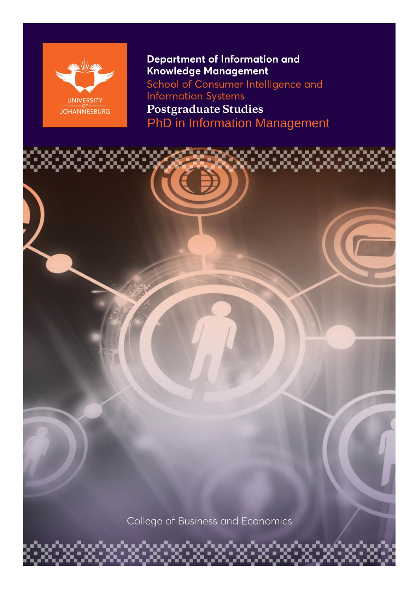

**Department of Information and** Knowledge Management School of Consumer Intelligence and **Information Systems Postgraduate Studies** PhD in Information Management



College of Business and Economics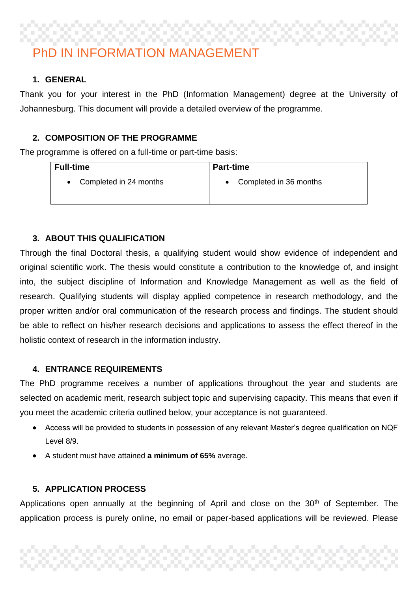# PhD IN INFORMATION MANAGEMENT

#### **1. GENERAL**

Thank you for your interest in the PhD (Information Management) degree at the University of Johannesburg. This document will provide a detailed overview of the programme.

#### **2. COMPOSITION OF THE PROGRAMME**

The programme is offered on a full-time or part-time basis:

| <b>Full-time</b>       | <b>Part-time</b>                    |
|------------------------|-------------------------------------|
| Completed in 24 months | Completed in 36 months<br>$\bullet$ |

#### **3. ABOUT THIS QUALIFICATION**

Through the final Doctoral thesis, a qualifying student would show evidence of independent and original scientific work. The thesis would constitute a contribution to the knowledge of, and insight into, the subject discipline of Information and Knowledge Management as well as the field of research. Qualifying students will display applied competence in research methodology, and the proper written and/or oral communication of the research process and findings. The student should be able to reflect on his/her research decisions and applications to assess the effect thereof in the holistic context of research in the information industry.

#### **4. ENTRANCE REQUIREMENTS**

The PhD programme receives a number of applications throughout the year and students are selected on academic merit, research subject topic and supervising capacity. This means that even if you meet the academic criteria outlined below, your acceptance is not guaranteed.

- Access will be provided to students in possession of any relevant Master's degree qualification on NQF Level 8/9.
- A student must have attained **a minimum of 65%** average.

#### **5. APPLICATION PROCESS**

Applications open annually at the beginning of April and close on the  $30<sup>th</sup>$  of September. The application process is purely online, no email or paper-based applications will be reviewed. Please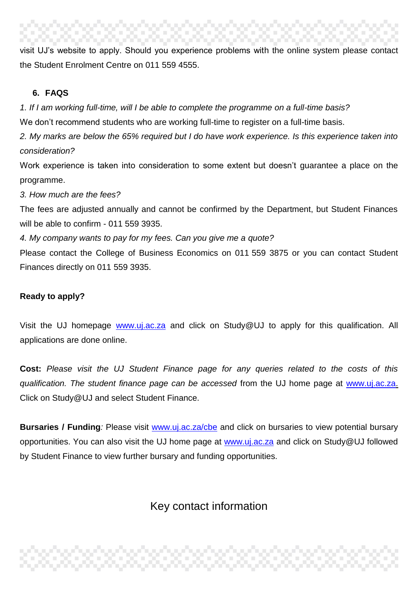visit UJ's website to apply. Should you experience problems with the online system please contact the Student Enrolment Centre on 011 559 4555.

#### **6. FAQS**

*1. If I am working full-time, will I be able to complete the programme on a full-time basis?*

We don't recommend students who are working full-time to register on a full-time basis.

*2. My marks are below the 65% required but I do have work experience. Is this experience taken into consideration?*

Work experience is taken into consideration to some extent but doesn't guarantee a place on the programme.

*3. How much are the fees?*

The fees are adjusted annually and cannot be confirmed by the Department, but Student Finances will be able to confirm - 011 559 3935.

*4. My company wants to pay for my fees. Can you give me a quote?*

Please contact the College of Business Economics on 011 559 3875 or you can contact Student Finances directly on 011 559 3935.

### **Ready to apply?**

Visit the UJ homepage **[www.uj.ac.za](http://www.uj.ac.za/)** and click on Study@UJ to apply for this qualification. All applications are done online.

**Cost:** *Please visit the UJ Student Finance page for any queries related to the costs of this qualification. The student finance page can be accessed* from the UJ home page at [www.uj.ac.za.](http://www.uj.ac.za/) Click on Study@UJ and select Student Finance.

**Bursaries / Funding**: Please visit [www.uj.ac.za/cbe](http://www.uj.ac.za/cbe) and click on bursaries to view potential bursary opportunities. You can also visit the UJ home page at [www.uj.ac.za](http://www.uj.ac.za/) and click on Study@UJ followed by Student Finance to view further bursary and funding opportunities.

## Key contact information